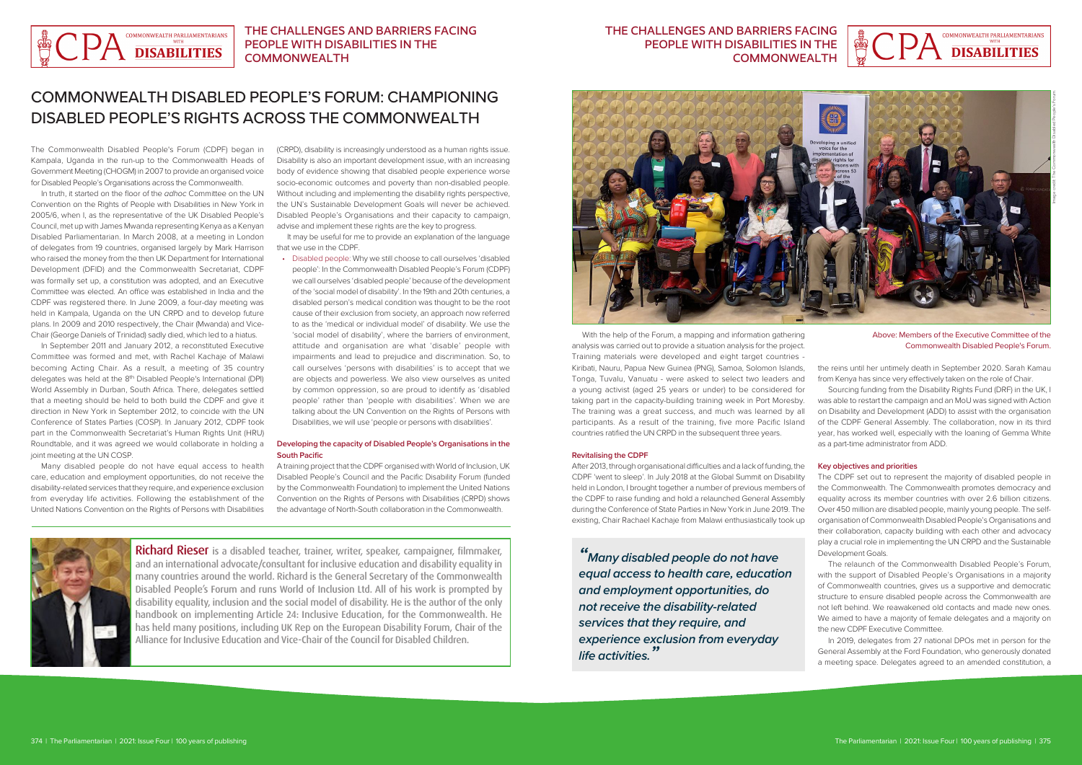The Commonwealth Disabled People's Forum (CDPF) began in Kampala, Uganda in the run-up to the Commonwealth Heads of Government Meeting (CHOGM) in 2007 to provide an organised voice for Disabled People's Organisations across the Commonwealth.

In truth, it started on the floor of the *adhoc* Committee on the UN Convention on the Rights of People with Disabilities in New York in 2005/6, when I, as the representative of the UK Disabled People's Council, met up with James Mwanda representing Kenya as a Kenyan Disabled Parliamentarian. In March 2008, at a meeting in London of delegates from 19 countries, organised largely by Mark Harrison who raised the money from the then UK Department for International Development (DFID) and the Commonwealth Secretariat, CDPF was formally set up, a constitution was adopted, and an Executive Committee was elected. An office was established in India and the CDPF was registered there. In June 2009, a four-day meeting was held in Kampala, Uganda on the UN CRPD and to develop future plans. In 2009 and 2010 respectively, the Chair (Mwanda) and Vice-Chair (George Daniels of Trinidad) sadly died, which led to a hiatus.

In September 2011 and January 2012, a reconstituted Executive Committee was formed and met, with Rachel Kachaje of Malawi becoming Acting Chair. As a result, a meeting of 35 country delegates was held at the 8<sup>th</sup> Disabled People's International (DPI) World Assembly in Durban, South Africa. There, delegates settled that a meeting should be held to both build the CDPF and give it direction in New York in September 2012, to coincide with the UN Conference of States Parties (COSP). In January 2012, CDPF took part in the Commonwealth Secretariat's Human Rights Unit (HRU) Roundtable, and it was agreed we would collaborate in holding a joint meeting at the UN COSP.

Many disabled people do not have equal access to health care, education and employment opportunities, do not receive the disability-related services that they require, and experience exclusion from everyday life activities. Following the establishment of the United Nations Convention on the Rights of Persons with Disabilities

(CRPD), disability is increasingly understood as a human rights issue. Disability is also an important development issue, with an increasing body of evidence showing that disabled people experience worse socio-economic outcomes and poverty than non-disabled people. Without including and implementing the disability rights perspective, the UN's Sustainable Development Goals will never be achieved. Disabled People's Organisations and their capacity to campaign, advise and implement these rights are the key to progress.

It may be useful for me to provide an explanation of the language that we use in the CDPF.

• Disabled people: Why we still choose to call ourselves 'disabled people': In the Commonwealth Disabled People's Forum (CDPF) we call ourselves 'disabled people' because of the development of the 'social model of disability'. In the 19th and 20th centuries, a disabled person's medical condition was thought to be the root cause of their exclusion from society, an approach now referred to as the 'medical or individual model' of disability. We use the 'social model of disability', where the barriers of environment, attitude and organisation are what 'disable' people with impairments and lead to prejudice and discrimination. So, to call ourselves 'persons with disabilities' is to accept that we are objects and powerless. We also view ourselves as united by common oppression, so are proud to identify as 'disabled people' rather than 'people with disabilities'. When we are talking about the UN Convention on the Rights of Persons with Disabilities, we will use 'people or persons with disabilities'.

Richard Rieser is a disabled teacher, trainer, writer, speaker, campaigner, filmmaker, and an international advocate/consultant for inclusive education and disability equality in many countries around the world. Richard is the General Secretary of the Commonwealth Disabled People's Forum and runs World of Inclusion Ltd. All of his work is prompted by disability equality, inclusion and the social model of disability. He is the author of the only handbook on implementing Article 24: Inclusive Education, for the Commonwealth. He has held many positions, including UK Rep on the European Disability Forum, Chair of the Alliance for Inclusive Education and Vice-Chair of the Council for Disabled Children.

## **Developing the capacity of Disabled People's Organisations in the South Pacific**

A training project that the CDPF organised with World of Inclusion, UK Disabled People's Council and the Pacific Disability Forum (funded by the Commonwealth Foundation) to implement the United Nations Convention on the Rights of Persons with Disabilities (CRPD) shows the advantage of North-South collaboration in the Commonwealth.



### **Revitalising the CDPF**

After 2013, through organisational difficulties and a lack of funding, the CDPF 'went to sleep'. In July 2018 at the Global Summit on Disability held in London, I brought together a number of previous members of the CDPF to raise funding and hold a relaunched General Assembly during the Conference of State Parties in New York in June 2019. The existing, Chair Rachael Kachaje from Malawi enthusiastically took up

### **Key objectives and priorities**

The CDPF set out to represent the majority of disabled people in the Commonwealth. The Commonwealth promotes democracy and equality across its member countries with over 2.6 billion citizens. Over 450 million are disabled people, mainly young people. The selforganisation of Commonwealth Disabled People's Organisations and their collaboration, capacity building with each other and advocacy play a crucial role in implementing the UN CRPD and the Sustainable Development Goals.

With the help of the Forum, a mapping and information gathering analysis was carried out to provide a situation analysis for the project. Training materials were developed and eight target countries - Kiribati, Nauru, Papua New Guinea (PNG), Samoa, Solomon Islands, Tonga, Tuvalu, Vanuatu - were asked to select two leaders and a young activist (aged 25 years or under) to be considered for taking part in the capacity-building training week in Port Moresby. The training was a great success, and much was learned by all participants. As a result of the training, five more Pacific Island countries ratified the UN CRPD in the subsequent three years. the reins until her untimely death in September 2020. Sarah Kamau from Kenya has since very effectively taken on the role of Chair. Sourcing funding from the Disability Rights Fund (DRF) in the UK, I was able to restart the campaign and an MoU was signed with Action on Disability and Development (ADD) to assist with the organisation of the CDPF General Assembly. The collaboration, now in its third year, has worked well, especially with the loaning of Gemma White as a part-time administrator from ADD. Commonwealth Disabled People's Forum.

> The relaunch of the Commonwealth Disabled People's Forum, with the support of Disabled People's Organisations in a majority of Commonwealth countries, gives us a supportive and democratic structure to ensure disabled people across the Commonwealth are not left behind. We reawakened old contacts and made new ones. We aimed to have a majority of female delegates and a majority on the new CDPF Executive Committee.

> In 2019, delegates from 27 national DPOs met in person for the General Assembly at the Ford Foundation, who generously donated a meeting space. Delegates agreed to an amended constitution, a





## THE CHALLENGES AND BARRIERS FACING PEOPLE WITH DISABILITIES IN THE COMMONWEALTH

## COMMONWEALTH DISABLED PEOPLE'S FORUM: CHAMPIONING DISABLED PEOPLE'S RIGHTS ACROSS THE COMMONWEALTH

## THE CHALLENGES AND BARRIERS FACING PEOPLE WITH DISABILITIES IN THE COMMONWEALTH

*" Many disabled people do not have equal access to health care, education and employment opportunities, do not receive the disability-related services that they require, and experience exclusion from everyday life activities."*



Above: Members of the Executive Committee of the